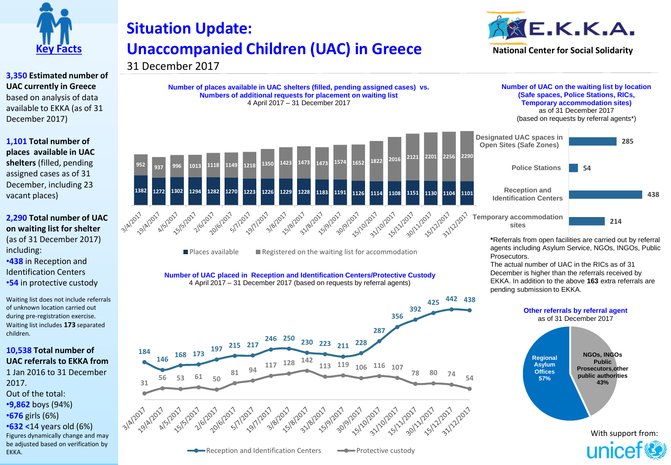

**3,350 Estimated number of UAC currently in Greece**  based on analysis of data available to EKKA (as of 31 December 2017)

**1,101 Total number of places available in UAC shelters** (filled, pending assigned cases as of 31 December, including 23 vacant places)

**2,290 Total number of UAC on waiting list for shelter**  (as of 31 December 2017) including: •**438** in Reception and Identification Centers •**54** in protective custody

Waiting list does not include referrals of unknown location carried out during pre-registration exercise. Waiting list includes **173** separated children.

## **10,538 Total number of UAC referrals to EKKA from**

1 Jan 2016 to 31 December 2017. Out of the total: •**9,862** boys (94%) •**676** girls (6%) •**632 <**14 years old (6%) Figures dynamically change and may be adjusted based on verification by EKKA.

## **Situation Update: Unaccompanied Children (UAC) in Greece**



**Number of places available in UAC shelters (filled, pending assigned cases) vs. Numbers of additional requests for placement on waiting list** 4 April 2017 – 31 December 2017



 $\blacksquare$  Places available  $\blacksquare$  Registered on the waiting list for accommodation

**Number of UAC placed in Reception and Identification Centers/Protective Custody** 4 April 2017 – 31 December 2017 (based on requests by referral agents)





**Number of UAC on the waiting list by location (Safe spaces, Police Stations, RICs, Temporary accommodation sites)**  as of 31 December 2017

(based on requests by referral agents\*)

**54**



**\***Referrals from open facilities are carried out by referral agents including Asylum Service, NGOs, INGOs, Public

**214**

**285**

**438**

The actual number of UAC in the RICs as of 31 December is higher than the referrals received by EKKA. In addition to the above **163** extra referrals are

Prosecutors.

With support from: unicef<sup>®</sup>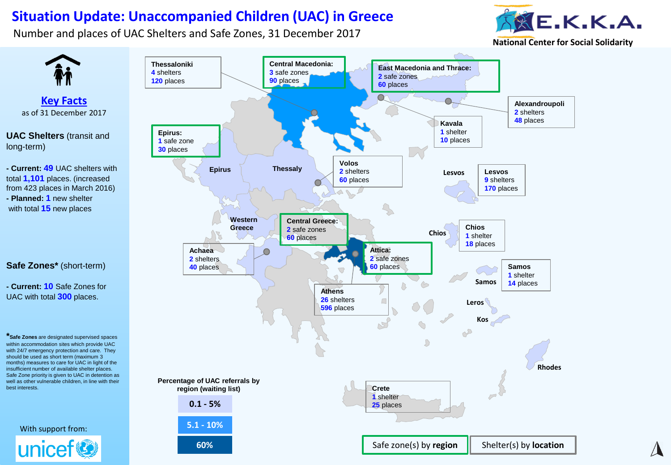## **Situation Update: Unaccompanied Children (UAC) in Greece**

Number and places of UAC Shelters and Safe Zones, 31 December 2017